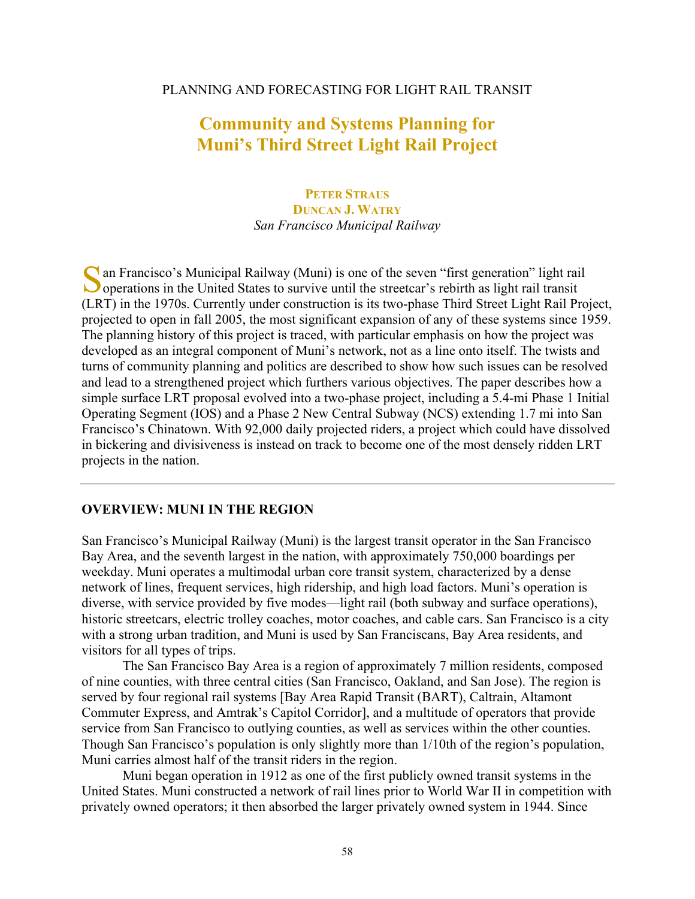#### PLANNING AND FORECASTING FOR LIGHT RAIL TRANSIT

# **Community and Systems Planning for Muni's Third Street Light Rail Project**

### **PETER STRAUS DUNCAN J. WATRY** *San Francisco Municipal Railway*

an Francisco's Municipal Railway (Muni) is one of the seven "first generation" light rail S O operations in the United States to survive until the streetcar's rebirth as light rail transit (LRT) in the 1970s. Currently under construction is its two-phase Third Street Light Rail Project, projected to open in fall 2005, the most significant expansion of any of these systems since 1959. The planning history of this project is traced, with particular emphasis on how the project was developed as an integral component of Muni's network, not as a line onto itself. The twists and turns of community planning and politics are described to show how such issues can be resolved and lead to a strengthened project which furthers various objectives. The paper describes how a simple surface LRT proposal evolved into a two-phase project, including a 5.4-mi Phase 1 Initial Operating Segment (IOS) and a Phase 2 New Central Subway (NCS) extending 1.7 mi into San Francisco's Chinatown. With 92,000 daily projected riders, a project which could have dissolved in bickering and divisiveness is instead on track to become one of the most densely ridden LRT projects in the nation.

### **OVERVIEW: MUNI IN THE REGION**

San Francisco's Municipal Railway (Muni) is the largest transit operator in the San Francisco Bay Area, and the seventh largest in the nation, with approximately 750,000 boardings per weekday. Muni operates a multimodal urban core transit system, characterized by a dense network of lines, frequent services, high ridership, and high load factors. Muni's operation is diverse, with service provided by five modes—light rail (both subway and surface operations), historic streetcars, electric trolley coaches, motor coaches, and cable cars. San Francisco is a city with a strong urban tradition, and Muni is used by San Franciscans, Bay Area residents, and visitors for all types of trips.

The San Francisco Bay Area is a region of approximately 7 million residents, composed of nine counties, with three central cities (San Francisco, Oakland, and San Jose). The region is served by four regional rail systems [Bay Area Rapid Transit (BART), Caltrain, Altamont Commuter Express, and Amtrak's Capitol Corridor], and a multitude of operators that provide service from San Francisco to outlying counties, as well as services within the other counties. Though San Francisco's population is only slightly more than 1/10th of the region's population, Muni carries almost half of the transit riders in the region.

Muni began operation in 1912 as one of the first publicly owned transit systems in the United States. Muni constructed a network of rail lines prior to World War II in competition with privately owned operators; it then absorbed the larger privately owned system in 1944. Since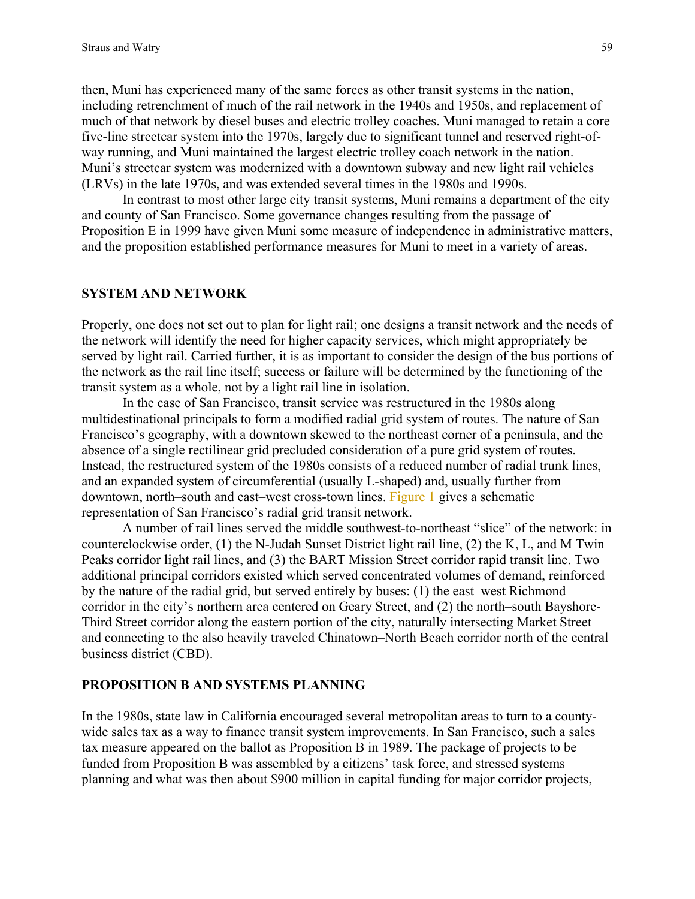then, Muni has experienced many of the same forces as other transit systems in the nation, including retrenchment of much of the rail network in the 1940s and 1950s, and replacement of much of that network by diesel buses and electric trolley coaches. Muni managed to retain a core five-line streetcar system into the 1970s, largely due to significant tunnel and reserved right-ofway running, and Muni maintained the largest electric trolley coach network in the nation. Muni's streetcar system was modernized with a downtown subway and new light rail vehicles (LRVs) in the late 1970s, and was extended several times in the 1980s and 1990s.

In contrast to most other large city transit systems, Muni remains a department of the city and county of San Francisco. Some governance changes resulting from the passage of Proposition E in 1999 have given Muni some measure of independence in administrative matters, and the proposition established performance measures for Muni to meet in a variety of areas.

### **SYSTEM AND NETWORK**

Properly, one does not set out to plan for light rail; one designs a transit network and the needs of the network will identify the need for higher capacity services, which might appropriately be served by light rail. Carried further, it is as important to consider the design of the bus portions of the network as the rail line itself; success or failure will be determined by the functioning of the transit system as a whole, not by a light rail line in isolation.

In the case of San Francisco, transit service was restructured in the 1980s along multidestinational principals to form a modified radial grid system of routes. The nature of San Francisco's geography, with a downtown skewed to the northeast corner of a peninsula, and the absence of a single rectilinear grid precluded consideration of a pure grid system of routes. Instead, the restructured system of the 1980s consists of a reduced number of radial trunk lines, and an expanded system of circumferential (usually L-shaped) and, usually further from downtown, north–south and east–west cross-town lines. [Figure 1 g](#page-2-0)ives a schematic representation of San Francisco's radial grid transit network.

A number of rail lines served the middle southwest-to-northeast "slice" of the network: in counterclockwise order, (1) the N-Judah Sunset District light rail line, (2) the K, L, and M Twin Peaks corridor light rail lines, and (3) the BART Mission Street corridor rapid transit line. Two additional principal corridors existed which served concentrated volumes of demand, reinforced by the nature of the radial grid, but served entirely by buses: (1) the east–west Richmond corridor in the city's northern area centered on Geary Street, and (2) the north–south Bayshore-Third Street corridor along the eastern portion of the city, naturally intersecting Market Street and connecting to the also heavily traveled Chinatown–North Beach corridor north of the central business district (CBD).

#### **PROPOSITION B AND SYSTEMS PLANNING**

In the 1980s, state law in California encouraged several metropolitan areas to turn to a countywide sales tax as a way to finance transit system improvements. In San Francisco, such a sales tax measure appeared on the ballot as Proposition B in 1989. The package of projects to be funded from Proposition B was assembled by a citizens' task force, and stressed systems planning and what was then about \$900 million in capital funding for major corridor projects,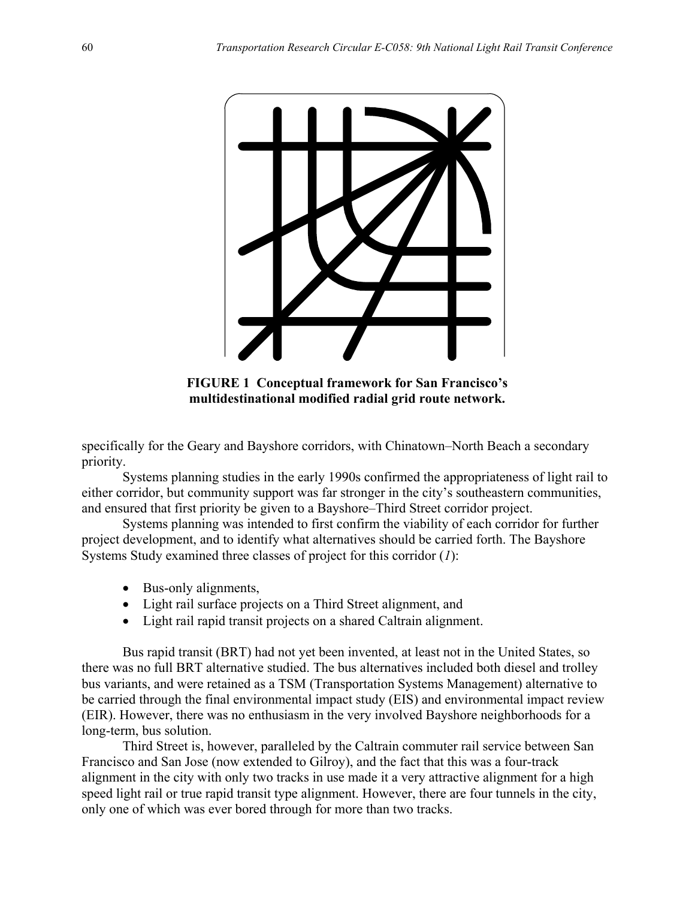<span id="page-2-0"></span>

**FIGURE 1 Conceptual framework for San Francisco's multidestinational modified radial grid route network.**

specifically for the Geary and Bayshore corridors, with Chinatown–North Beach a secondary priority.

Systems planning studies in the early 1990s confirmed the appropriateness of light rail to either corridor, but community support was far stronger in the city's southeastern communities, and ensured that first priority be given to a Bayshore–Third Street corridor project.

Systems planning was intended to first confirm the viability of each corridor for further project development, and to identify what alternatives should be carried forth. The Bayshore Systems Study examined three classes of project for this corridor (*1*):

- Bus-only alignments,
- Light rail surface projects on a Third Street alignment, and
- Light rail rapid transit projects on a shared Caltrain alignment.

Bus rapid transit (BRT) had not yet been invented, at least not in the United States, so there was no full BRT alternative studied. The bus alternatives included both diesel and trolley bus variants, and were retained as a TSM (Transportation Systems Management) alternative to be carried through the final environmental impact study (EIS) and environmental impact review (EIR). However, there was no enthusiasm in the very involved Bayshore neighborhoods for a long-term, bus solution.

Third Street is, however, paralleled by the Caltrain commuter rail service between San Francisco and San Jose (now extended to Gilroy), and the fact that this was a four-track alignment in the city with only two tracks in use made it a very attractive alignment for a high speed light rail or true rapid transit type alignment. However, there are four tunnels in the city, only one of which was ever bored through for more than two tracks.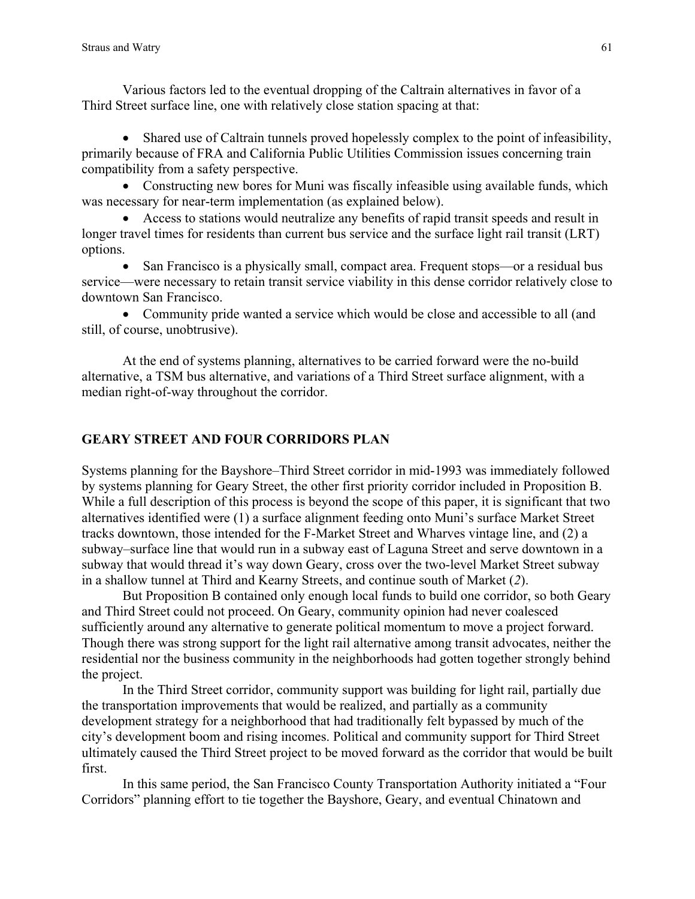Various factors led to the eventual dropping of the Caltrain alternatives in favor of a Third Street surface line, one with relatively close station spacing at that:

• Shared use of Caltrain tunnels proved hopelessly complex to the point of infeasibility, primarily because of FRA and California Public Utilities Commission issues concerning train compatibility from a safety perspective.

• Constructing new bores for Muni was fiscally infeasible using available funds, which was necessary for near-term implementation (as explained below).

• Access to stations would neutralize any benefits of rapid transit speeds and result in longer travel times for residents than current bus service and the surface light rail transit (LRT) options.

• San Francisco is a physically small, compact area. Frequent stops—or a residual bus service—were necessary to retain transit service viability in this dense corridor relatively close to downtown San Francisco.

• Community pride wanted a service which would be close and accessible to all (and still, of course, unobtrusive).

At the end of systems planning, alternatives to be carried forward were the no-build alternative, a TSM bus alternative, and variations of a Third Street surface alignment, with a median right-of-way throughout the corridor.

### **GEARY STREET AND FOUR CORRIDORS PLAN**

Systems planning for the Bayshore–Third Street corridor in mid-1993 was immediately followed by systems planning for Geary Street, the other first priority corridor included in Proposition B. While a full description of this process is beyond the scope of this paper, it is significant that two alternatives identified were (1) a surface alignment feeding onto Muni's surface Market Street tracks downtown, those intended for the F-Market Street and Wharves vintage line, and (2) a subway–surface line that would run in a subway east of Laguna Street and serve downtown in a subway that would thread it's way down Geary, cross over the two-level Market Street subway in a shallow tunnel at Third and Kearny Streets, and continue south of Market (*2*).

But Proposition B contained only enough local funds to build one corridor, so both Geary and Third Street could not proceed. On Geary, community opinion had never coalesced sufficiently around any alternative to generate political momentum to move a project forward. Though there was strong support for the light rail alternative among transit advocates, neither the residential nor the business community in the neighborhoods had gotten together strongly behind the project.

In the Third Street corridor, community support was building for light rail, partially due the transportation improvements that would be realized, and partially as a community development strategy for a neighborhood that had traditionally felt bypassed by much of the city's development boom and rising incomes. Political and community support for Third Street ultimately caused the Third Street project to be moved forward as the corridor that would be built first.

In this same period, the San Francisco County Transportation Authority initiated a "Four Corridors" planning effort to tie together the Bayshore, Geary, and eventual Chinatown and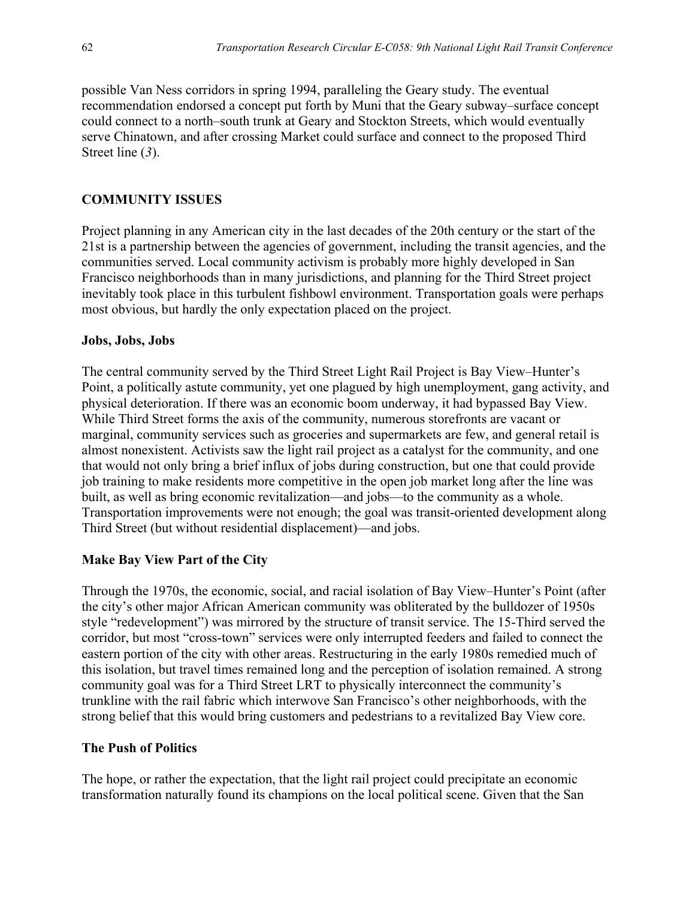possible Van Ness corridors in spring 1994, paralleling the Geary study. The eventual recommendation endorsed a concept put forth by Muni that the Geary subway–surface concept could connect to a north–south trunk at Geary and Stockton Streets, which would eventually serve Chinatown, and after crossing Market could surface and connect to the proposed Third Street line (*3*).

## **COMMUNITY ISSUES**

Project planning in any American city in the last decades of the 20th century or the start of the 21st is a partnership between the agencies of government, including the transit agencies, and the communities served. Local community activism is probably more highly developed in San Francisco neighborhoods than in many jurisdictions, and planning for the Third Street project inevitably took place in this turbulent fishbowl environment. Transportation goals were perhaps most obvious, but hardly the only expectation placed on the project.

### **Jobs, Jobs, Jobs**

The central community served by the Third Street Light Rail Project is Bay View–Hunter's Point, a politically astute community, yet one plagued by high unemployment, gang activity, and physical deterioration. If there was an economic boom underway, it had bypassed Bay View. While Third Street forms the axis of the community, numerous storefronts are vacant or marginal, community services such as groceries and supermarkets are few, and general retail is almost nonexistent. Activists saw the light rail project as a catalyst for the community, and one that would not only bring a brief influx of jobs during construction, but one that could provide job training to make residents more competitive in the open job market long after the line was built, as well as bring economic revitalization—and jobs—to the community as a whole. Transportation improvements were not enough; the goal was transit-oriented development along Third Street (but without residential displacement)—and jobs.

### **Make Bay View Part of the City**

Through the 1970s, the economic, social, and racial isolation of Bay View–Hunter's Point (after the city's other major African American community was obliterated by the bulldozer of 1950s style "redevelopment") was mirrored by the structure of transit service. The 15-Third served the corridor, but most "cross-town" services were only interrupted feeders and failed to connect the eastern portion of the city with other areas. Restructuring in the early 1980s remedied much of this isolation, but travel times remained long and the perception of isolation remained. A strong community goal was for a Third Street LRT to physically interconnect the community's trunkline with the rail fabric which interwove San Francisco's other neighborhoods, with the strong belief that this would bring customers and pedestrians to a revitalized Bay View core.

### **The Push of Politics**

The hope, or rather the expectation, that the light rail project could precipitate an economic transformation naturally found its champions on the local political scene. Given that the San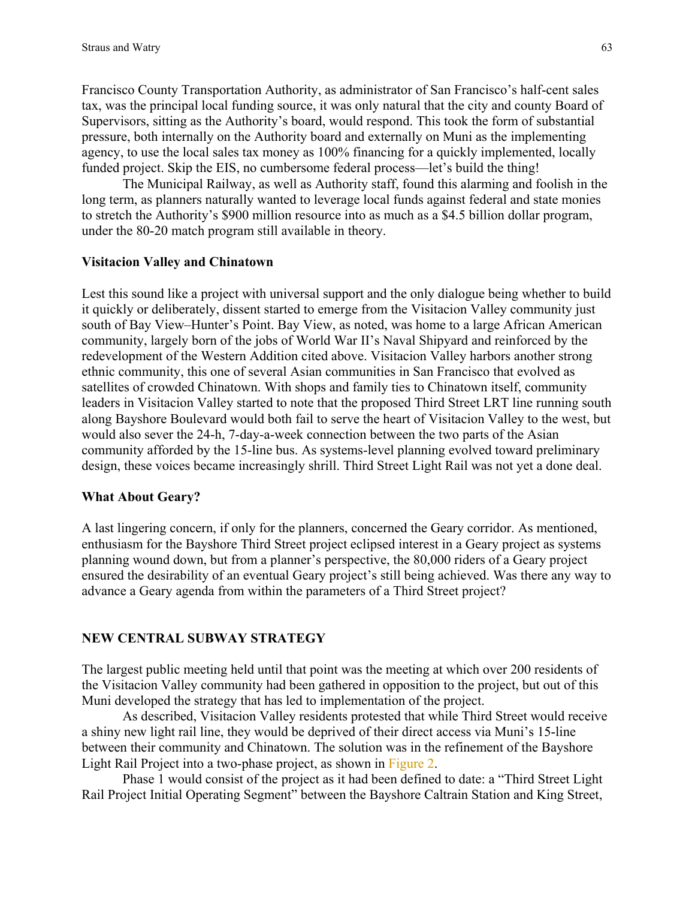Francisco County Transportation Authority, as administrator of San Francisco's half-cent sales tax, was the principal local funding source, it was only natural that the city and county Board of Supervisors, sitting as the Authority's board, would respond. This took the form of substantial pressure, both internally on the Authority board and externally on Muni as the implementing agency, to use the local sales tax money as 100% financing for a quickly implemented, locally funded project. Skip the EIS, no cumbersome federal process—let's build the thing!

The Municipal Railway, as well as Authority staff, found this alarming and foolish in the long term, as planners naturally wanted to leverage local funds against federal and state monies to stretch the Authority's \$900 million resource into as much as a \$4.5 billion dollar program, under the 80-20 match program still available in theory.

### **Visitacion Valley and Chinatown**

Lest this sound like a project with universal support and the only dialogue being whether to build it quickly or deliberately, dissent started to emerge from the Visitacion Valley community just south of Bay View–Hunter's Point. Bay View, as noted, was home to a large African American community, largely born of the jobs of World War II's Naval Shipyard and reinforced by the redevelopment of the Western Addition cited above. Visitacion Valley harbors another strong ethnic community, this one of several Asian communities in San Francisco that evolved as satellites of crowded Chinatown. With shops and family ties to Chinatown itself, community leaders in Visitacion Valley started to note that the proposed Third Street LRT line running south along Bayshore Boulevard would both fail to serve the heart of Visitacion Valley to the west, but would also sever the 24-h, 7-day-a-week connection between the two parts of the Asian community afforded by the 15-line bus. As systems-level planning evolved toward preliminary design, these voices became increasingly shrill. Third Street Light Rail was not yet a done deal.

### **What About Geary?**

A last lingering concern, if only for the planners, concerned the Geary corridor. As mentioned, enthusiasm for the Bayshore Third Street project eclipsed interest in a Geary project as systems planning wound down, but from a planner's perspective, the 80,000 riders of a Geary project ensured the desirability of an eventual Geary project's still being achieved. Was there any way to advance a Geary agenda from within the parameters of a Third Street project?

### **NEW CENTRAL SUBWAY STRATEGY**

The largest public meeting held until that point was the meeting at which over 200 residents of the Visitacion Valley community had been gathered in opposition to the project, but out of this Muni developed the strategy that has led to implementation of the project.

As described, Visitacion Valley residents protested that while Third Street would receive a shiny new light rail line, they would be deprived of their direct access via Muni's 15-line between their community and Chinatown. The solution was in the refinement of the Bayshore Light Rail Project into a two-phase project, as shown in [Figure 2.](#page-6-0) 

Phase 1 would consist of the project as it had been defined to date: a "Third Street Light Rail Project Initial Operating Segment" between the Bayshore Caltrain Station and King Street,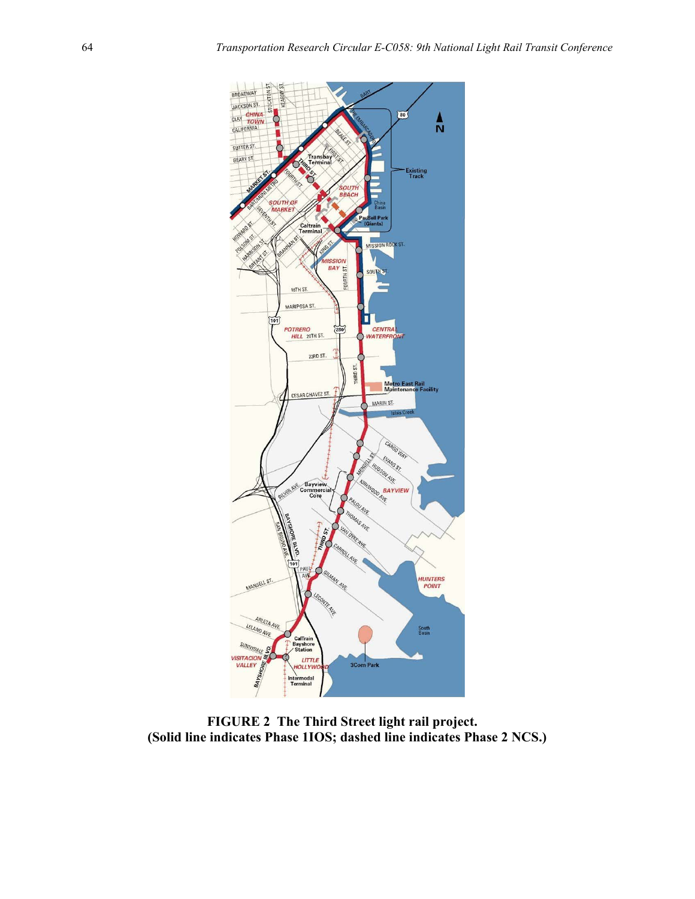<span id="page-6-0"></span>

**FIGURE 2 The Third Street light rail project. (Solid line indicates Phase 1IOS; dashed line indicates Phase 2 NCS.)**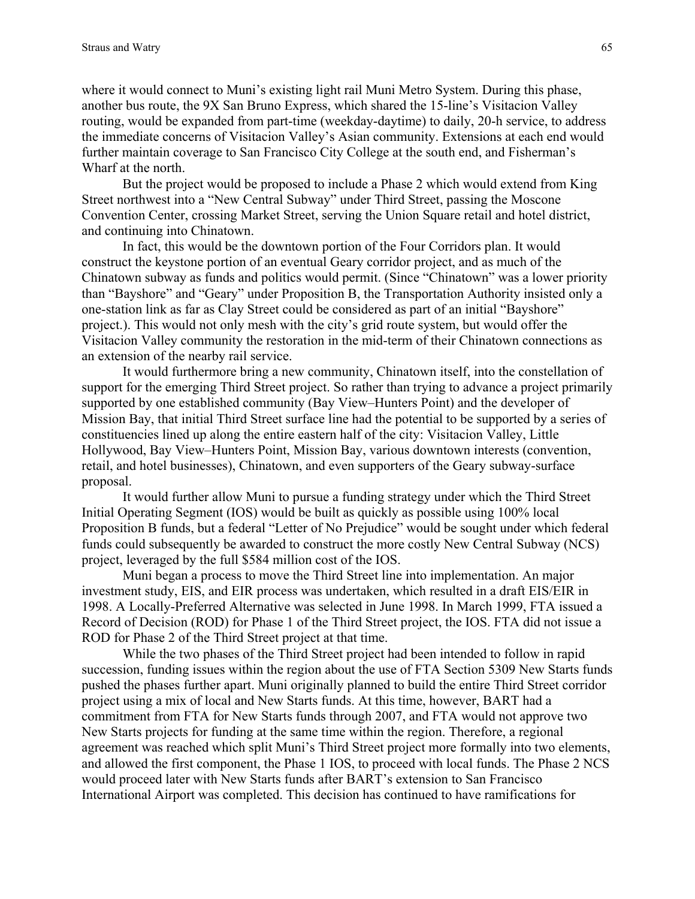where it would connect to Muni's existing light rail Muni Metro System. During this phase, another bus route, the 9X San Bruno Express, which shared the 15-line's Visitacion Valley routing, would be expanded from part-time (weekday-daytime) to daily, 20-h service, to address the immediate concerns of Visitacion Valley's Asian community. Extensions at each end would further maintain coverage to San Francisco City College at the south end, and Fisherman's Wharf at the north.

But the project would be proposed to include a Phase 2 which would extend from King Street northwest into a "New Central Subway" under Third Street, passing the Moscone Convention Center, crossing Market Street, serving the Union Square retail and hotel district, and continuing into Chinatown.

In fact, this would be the downtown portion of the Four Corridors plan. It would construct the keystone portion of an eventual Geary corridor project, and as much of the Chinatown subway as funds and politics would permit. (Since "Chinatown" was a lower priority than "Bayshore" and "Geary" under Proposition B, the Transportation Authority insisted only a one-station link as far as Clay Street could be considered as part of an initial "Bayshore" project.). This would not only mesh with the city's grid route system, but would offer the Visitacion Valley community the restoration in the mid-term of their Chinatown connections as an extension of the nearby rail service.

It would furthermore bring a new community, Chinatown itself, into the constellation of support for the emerging Third Street project. So rather than trying to advance a project primarily supported by one established community (Bay View–Hunters Point) and the developer of Mission Bay, that initial Third Street surface line had the potential to be supported by a series of constituencies lined up along the entire eastern half of the city: Visitacion Valley, Little Hollywood, Bay View–Hunters Point, Mission Bay, various downtown interests (convention, retail, and hotel businesses), Chinatown, and even supporters of the Geary subway-surface proposal.

It would further allow Muni to pursue a funding strategy under which the Third Street Initial Operating Segment (IOS) would be built as quickly as possible using 100% local Proposition B funds, but a federal "Letter of No Prejudice" would be sought under which federal funds could subsequently be awarded to construct the more costly New Central Subway (NCS) project, leveraged by the full \$584 million cost of the IOS.

Muni began a process to move the Third Street line into implementation. An major investment study, EIS, and EIR process was undertaken, which resulted in a draft EIS/EIR in 1998. A Locally-Preferred Alternative was selected in June 1998. In March 1999, FTA issued a Record of Decision (ROD) for Phase 1 of the Third Street project, the IOS. FTA did not issue a ROD for Phase 2 of the Third Street project at that time.

While the two phases of the Third Street project had been intended to follow in rapid succession, funding issues within the region about the use of FTA Section 5309 New Starts funds pushed the phases further apart. Muni originally planned to build the entire Third Street corridor project using a mix of local and New Starts funds. At this time, however, BART had a commitment from FTA for New Starts funds through 2007, and FTA would not approve two New Starts projects for funding at the same time within the region. Therefore, a regional agreement was reached which split Muni's Third Street project more formally into two elements, and allowed the first component, the Phase 1 IOS, to proceed with local funds. The Phase 2 NCS would proceed later with New Starts funds after BART's extension to San Francisco International Airport was completed. This decision has continued to have ramifications for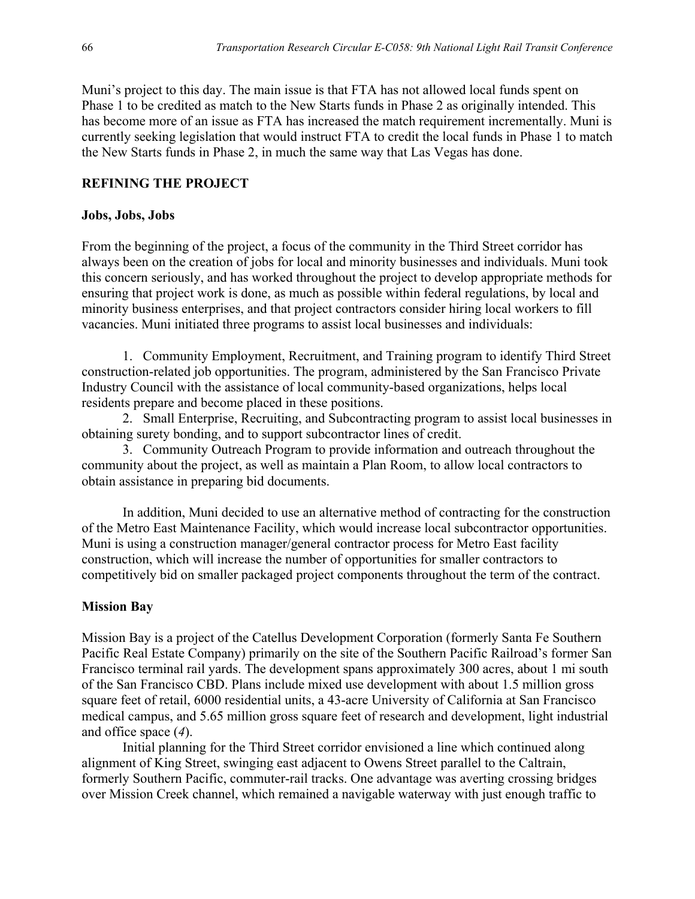Muni's project to this day. The main issue is that FTA has not allowed local funds spent on Phase 1 to be credited as match to the New Starts funds in Phase 2 as originally intended. This has become more of an issue as FTA has increased the match requirement incrementally. Muni is currently seeking legislation that would instruct FTA to credit the local funds in Phase 1 to match the New Starts funds in Phase 2, in much the same way that Las Vegas has done.

### **REFINING THE PROJECT**

### **Jobs, Jobs, Jobs**

From the beginning of the project, a focus of the community in the Third Street corridor has always been on the creation of jobs for local and minority businesses and individuals. Muni took this concern seriously, and has worked throughout the project to develop appropriate methods for ensuring that project work is done, as much as possible within federal regulations, by local and minority business enterprises, and that project contractors consider hiring local workers to fill vacancies. Muni initiated three programs to assist local businesses and individuals:

1. Community Employment, Recruitment, and Training program to identify Third Street construction-related job opportunities. The program, administered by the San Francisco Private Industry Council with the assistance of local community-based organizations, helps local residents prepare and become placed in these positions.

2. Small Enterprise, Recruiting, and Subcontracting program to assist local businesses in obtaining surety bonding, and to support subcontractor lines of credit.

3. Community Outreach Program to provide information and outreach throughout the community about the project, as well as maintain a Plan Room, to allow local contractors to obtain assistance in preparing bid documents.

In addition, Muni decided to use an alternative method of contracting for the construction of the Metro East Maintenance Facility, which would increase local subcontractor opportunities. Muni is using a construction manager/general contractor process for Metro East facility construction, which will increase the number of opportunities for smaller contractors to competitively bid on smaller packaged project components throughout the term of the contract.

### **Mission Bay**

Mission Bay is a project of the Catellus Development Corporation (formerly Santa Fe Southern Pacific Real Estate Company) primarily on the site of the Southern Pacific Railroad's former San Francisco terminal rail yards. The development spans approximately 300 acres, about 1 mi south of the San Francisco CBD. Plans include mixed use development with about 1.5 million gross square feet of retail, 6000 residential units, a 43-acre University of California at San Francisco medical campus, and 5.65 million gross square feet of research and development, light industrial and office space (*4*).

Initial planning for the Third Street corridor envisioned a line which continued along alignment of King Street, swinging east adjacent to Owens Street parallel to the Caltrain, formerly Southern Pacific, commuter-rail tracks. One advantage was averting crossing bridges over Mission Creek channel, which remained a navigable waterway with just enough traffic to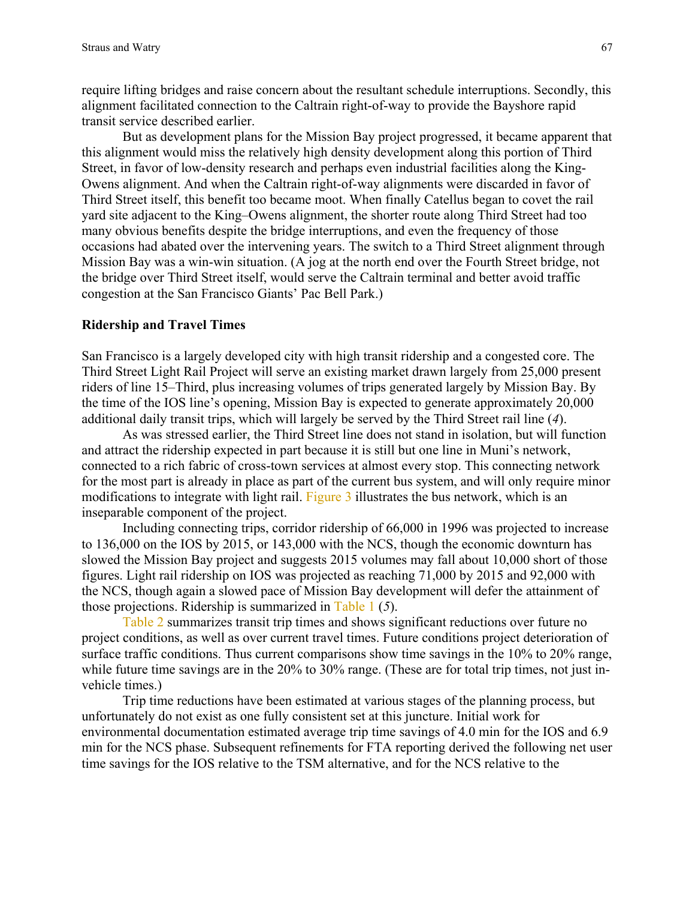require lifting bridges and raise concern about the resultant schedule interruptions. Secondly, this alignment facilitated connection to the Caltrain right-of-way to provide the Bayshore rapid transit service described earlier.

But as development plans for the Mission Bay project progressed, it became apparent that this alignment would miss the relatively high density development along this portion of Third Street, in favor of low-density research and perhaps even industrial facilities along the King-Owens alignment. And when the Caltrain right-of-way alignments were discarded in favor of Third Street itself, this benefit too became moot. When finally Catellus began to covet the rail yard site adjacent to the King–Owens alignment, the shorter route along Third Street had too many obvious benefits despite the bridge interruptions, and even the frequency of those occasions had abated over the intervening years. The switch to a Third Street alignment through Mission Bay was a win-win situation. (A jog at the north end over the Fourth Street bridge, not the bridge over Third Street itself, would serve the Caltrain terminal and better avoid traffic congestion at the San Francisco Giants' Pac Bell Park.)

#### **Ridership and Travel Times**

San Francisco is a largely developed city with high transit ridership and a congested core. The Third Street Light Rail Project will serve an existing market drawn largely from 25,000 present riders of line 15–Third, plus increasing volumes of trips generated largely by Mission Bay. By the time of the IOS line's opening, Mission Bay is expected to generate approximately 20,000 additional daily transit trips, which will largely be served by the Third Street rail line (*4*).

As was stressed earlier, the Third Street line does not stand in isolation, but will function and attract the ridership expected in part because it is still but one line in Muni's network, connected to a rich fabric of cross-town services at almost every stop. This connecting network for the most part is already in place as part of the current bus system, and will only require minor modifications to integrate with light rail. [Figure 3 i](#page-10-0)llustrates the bus network, which is an inseparable component of the project.

Including connecting trips, corridor ridership of 66,000 in 1996 was projected to increase to 136,000 on the IOS by 2015, or 143,000 with the NCS, though the economic downturn has slowed the Mission Bay project and suggests 2015 volumes may fall about 10,000 short of those figures. Light rail ridership on IOS was projected as reaching 71,000 by 2015 and 92,000 with the NCS, though again a slowed pace of Mission Bay development will defer the attainment of those projections. Ridership is summarized in [Table 1 \(](#page-10-0)*5*).

[Table 2](#page-11-0) summarizes transit trip times and shows significant reductions over future no project conditions, as well as over current travel times. Future conditions project deterioration of surface traffic conditions. Thus current comparisons show time savings in the 10% to 20% range, while future time savings are in the 20% to 30% range. (These are for total trip times, not just invehicle times.)

Trip time reductions have been estimated at various stages of the planning process, but unfortunately do not exist as one fully consistent set at this juncture. Initial work for environmental documentation estimated average trip time savings of 4.0 min for the IOS and 6.9 min for the NCS phase. Subsequent refinements for FTA reporting derived the following net user time savings for the IOS relative to the TSM alternative, and for the NCS relative to the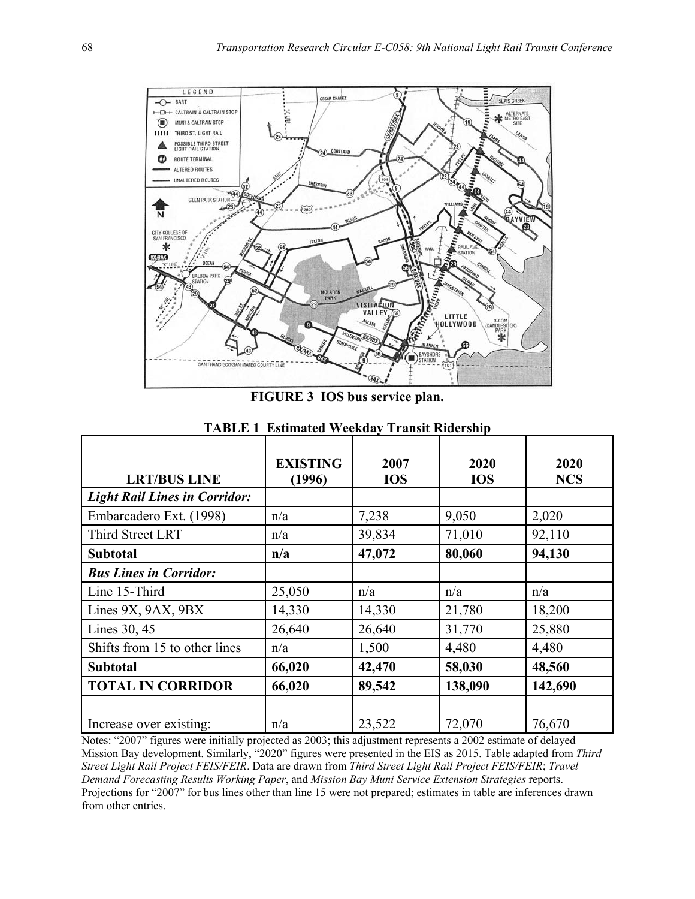<span id="page-10-0"></span>

**FIGURE 3 IOS bus service plan.** 

| <b>LRT/BUS LINE</b>                  | <b>EXISTING</b><br>(1996) | 2007<br><b>IOS</b> | 2020<br><b>IOS</b> | 2020<br><b>NCS</b> |
|--------------------------------------|---------------------------|--------------------|--------------------|--------------------|
| <b>Light Rail Lines in Corridor:</b> |                           |                    |                    |                    |
| Embarcadero Ext. (1998)              | n/a                       | 7,238              | 9,050              | 2,020              |
| Third Street LRT                     | n/a                       | 39,834             | 71,010             | 92,110             |
| <b>Subtotal</b>                      | n/a                       | 47,072             | 80,060             | 94,130             |
| <b>Bus Lines in Corridor:</b>        |                           |                    |                    |                    |
| Line 15-Third                        | 25,050                    | n/a                | n/a                | n/a                |
| Lines $9X$ , $9AX$ , $9BX$           | 14,330                    | 14,330             | 21,780             | 18,200             |
| Lines 30, 45                         | 26,640                    | 26,640             | 31,770             | 25,880             |
| Shifts from 15 to other lines        | n/a                       | 1,500              | 4,480              | 4,480              |
| <b>Subtotal</b>                      | 66,020                    | 42,470             | 58,030             | 48,560             |
| <b>TOTAL IN CORRIDOR</b>             | 66,020                    | 89,542             | 138,090            | 142,690            |
|                                      |                           |                    |                    |                    |
| Increase over existing:              | n/a                       | 23,522             | 72,070             | 76,670             |

**TABLE 1 Estimated Weekday Transit Ridership** 

Notes: "2007" figures were initially projected as 2003; this adjustment represents a 2002 estimate of delayed Mission Bay development. Similarly, "2020" figures were presented in the EIS as 2015. Table adapted from *Third Street Light Rail Project FEIS/FEIR*. Data are drawn from *Third Street Light Rail Project FEIS/FEIR*; *Travel Demand Forecasting Results Working Paper*, and *Mission Bay Muni Service Extension Strategies* reports. Projections for "2007" for bus lines other than line 15 were not prepared; estimates in table are inferences drawn from other entries.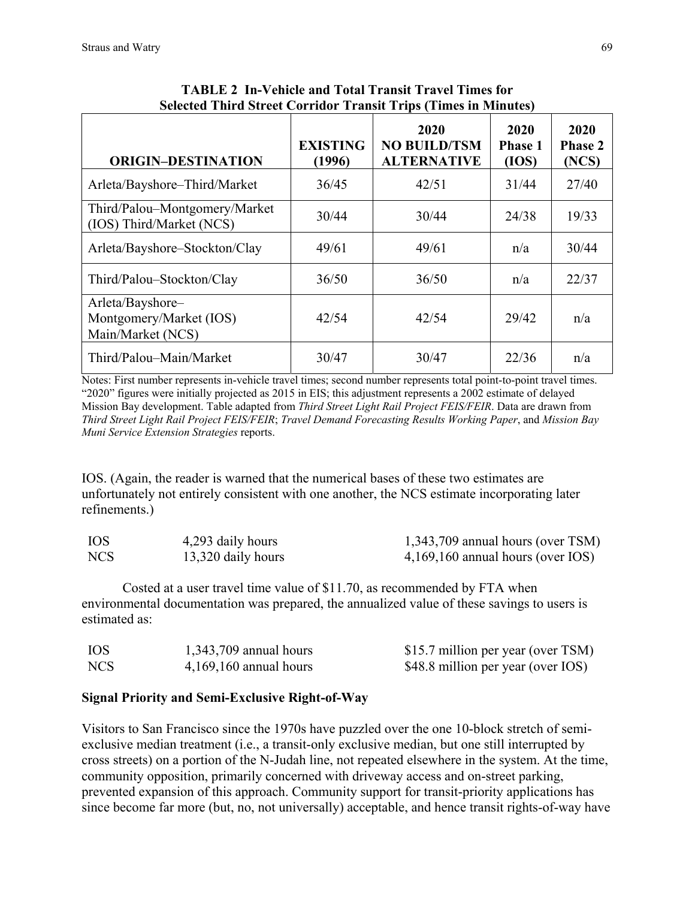<span id="page-11-0"></span>

| <b>ORIGIN-DESTINATION</b>                                        | <b>EXISTING</b><br>(1996) | 2020<br><b>NO BUILD/TSM</b><br><b>ALTERNATIVE</b> | 2020<br><b>Phase 1</b><br>(IOS) | 2020<br><b>Phase 2</b><br>(NCS) |
|------------------------------------------------------------------|---------------------------|---------------------------------------------------|---------------------------------|---------------------------------|
| Arleta/Bayshore-Third/Market                                     | 36/45                     | 42/51                                             | 31/44                           | 27/40                           |
| Third/Palou-Montgomery/Market<br>(IOS) Third/Market (NCS)        | 30/44                     | 30/44                                             | 24/38                           | 19/33                           |
| Arleta/Bayshore-Stockton/Clay                                    | 49/61                     | 49/61                                             | n/a                             | 30/44                           |
| Third/Palou-Stockton/Clay                                        | 36/50                     | 36/50                                             | n/a                             | 22/37                           |
| Arleta/Bayshore-<br>Montgomery/Market (IOS)<br>Main/Market (NCS) | 42/54                     | 42/54                                             | 29/42                           | n/a                             |
| Third/Palou-Main/Market                                          | 30/47                     | 30/47                                             | 22/36                           | n/a                             |

**TABLE 2 In-Vehicle and Total Transit Travel Times for Selected Third Street Corridor Transit Trips (Times in Minutes)**

Notes: First number represents in-vehicle travel times; second number represents total point-to-point travel times. "2020" figures were initially projected as 2015 in EIS; this adjustment represents a 2002 estimate of delayed Mission Bay development. Table adapted from *Third Street Light Rail Project FEIS/FEIR*. Data are drawn from *Third Street Light Rail Project FEIS/FEIR*; *Travel Demand Forecasting Results Working Paper*, and *Mission Bay Muni Service Extension Strategies* reports.

IOS. (Again, the reader is warned that the numerical bases of these two estimates are unfortunately not entirely consistent with one another, the NCS estimate incorporating later refinements.)

| <b>IOS</b> | 4,293 daily hours  | $1,343,709$ annual hours (over TSM) |
|------------|--------------------|-------------------------------------|
| NCS        | 13,320 daily hours | $4,169,160$ annual hours (over IOS) |

Costed at a user travel time value of \$11.70, as recommended by FTA when environmental documentation was prepared, the annualized value of these savings to users is estimated as:

| IOS        | $1,343,709$ annual hours | \$15.7 million per year (over TSM) |
|------------|--------------------------|------------------------------------|
| <b>NCS</b> | $4,169,160$ annual hours | \$48.8 million per year (over IOS) |

# **Signal Priority and Semi-Exclusive Right-of-Way**

Visitors to San Francisco since the 1970s have puzzled over the one 10-block stretch of semiexclusive median treatment (i.e., a transit-only exclusive median, but one still interrupted by cross streets) on a portion of the N-Judah line, not repeated elsewhere in the system. At the time, community opposition, primarily concerned with driveway access and on-street parking, prevented expansion of this approach. Community support for transit-priority applications has since become far more (but, no, not universally) acceptable, and hence transit rights-of-way have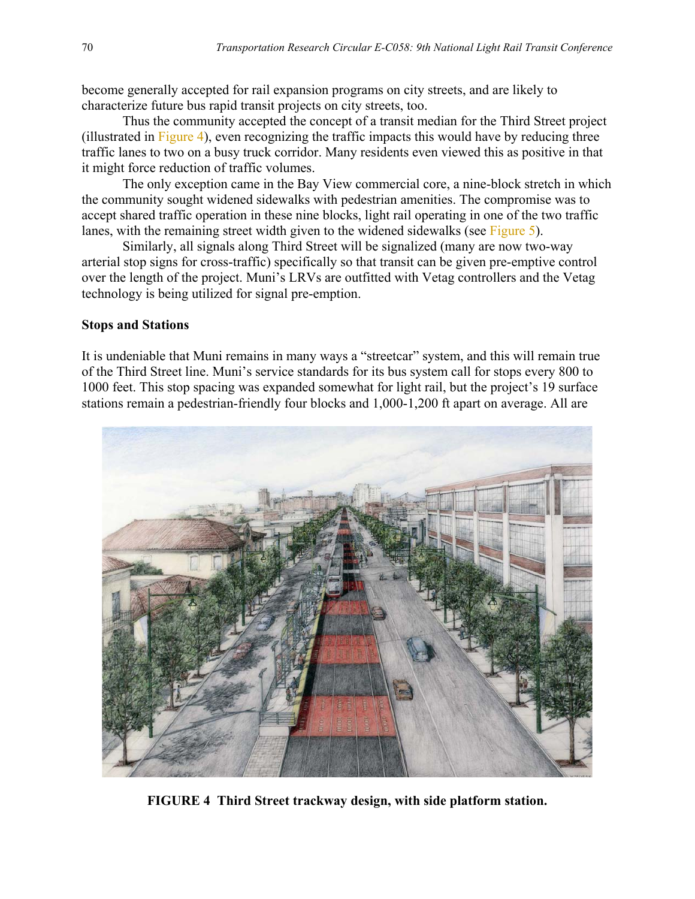become generally accepted for rail expansion programs on city streets, and are likely to characterize future bus rapid transit projects on city streets, too.

Thus the community accepted the concept of a transit median for the Third Street project (illustrated in Figure 4), even recognizing the traffic impacts this would have by reducing three traffic lanes to two on a busy truck corridor. Many residents even viewed this as positive in that it might force reduction of traffic volumes.

The only exception came in the Bay View commercial core, a nine-block stretch in which the community sought widened sidewalks with pedestrian amenities. The compromise was to accept shared traffic operation in these nine blocks, light rail operating in one of the two traffic lanes, with the remaining street width given to the widened sidewalks (see [Figure 5\)](#page-13-0).

Similarly, all signals along Third Street will be signalized (many are now two-way arterial stop signs for cross-traffic) specifically so that transit can be given pre-emptive control over the length of the project. Muni's LRVs are outfitted with Vetag controllers and the Vetag technology is being utilized for signal pre-emption.

#### **Stops and Stations**

It is undeniable that Muni remains in many ways a "streetcar" system, and this will remain true of the Third Street line. Muni's service standards for its bus system call for stops every 800 to 1000 feet. This stop spacing was expanded somewhat for light rail, but the project's 19 surface stations remain a pedestrian-friendly four blocks and 1,000-1,200 ft apart on average. All are



**FIGURE 4 Third Street trackway design, with side platform station.**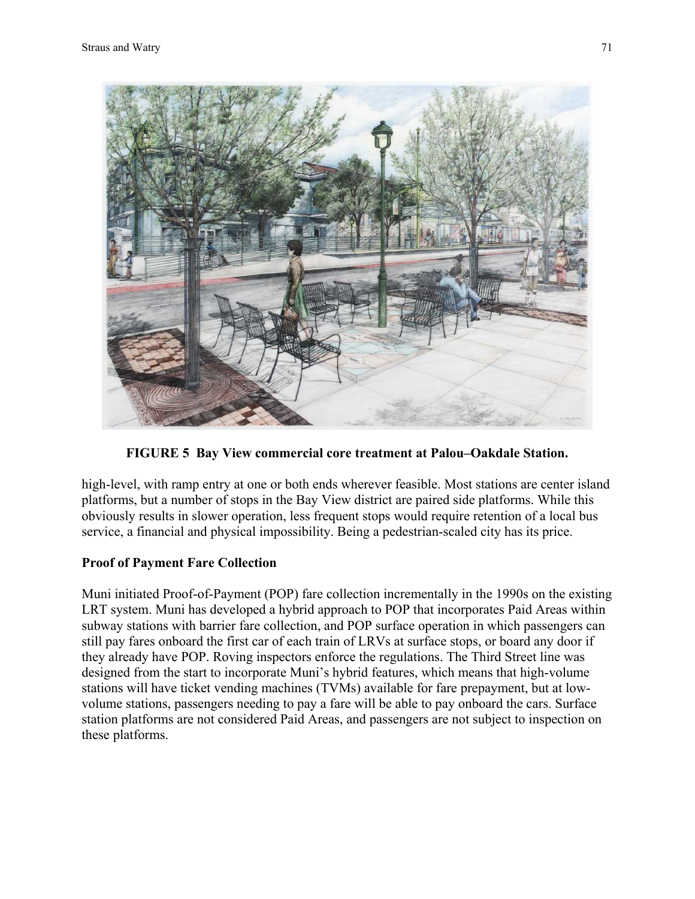<span id="page-13-0"></span>

**FIGURE 5 Bay View commercial core treatment at Palou–Oakdale Station.** 

high-level, with ramp entry at one or both ends wherever feasible. Most stations are center island platforms, but a number of stops in the Bay View district are paired side platforms. While this obviously results in slower operation, less frequent stops would require retention of a local bus service, a financial and physical impossibility. Being a pedestrian-scaled city has its price.

### **Proof of Payment Fare Collection**

Muni initiated Proof-of-Payment (POP) fare collection incrementally in the 1990s on the existing LRT system. Muni has developed a hybrid approach to POP that incorporates Paid Areas within subway stations with barrier fare collection, and POP surface operation in which passengers can still pay fares onboard the first car of each train of LRVs at surface stops, or board any door if they already have POP. Roving inspectors enforce the regulations. The Third Street line was designed from the start to incorporate Muni's hybrid features, which means that high-volume stations will have ticket vending machines (TVMs) available for fare prepayment, but at lowvolume stations, passengers needing to pay a fare will be able to pay onboard the cars. Surface station platforms are not considered Paid Areas, and passengers are not subject to inspection on these platforms.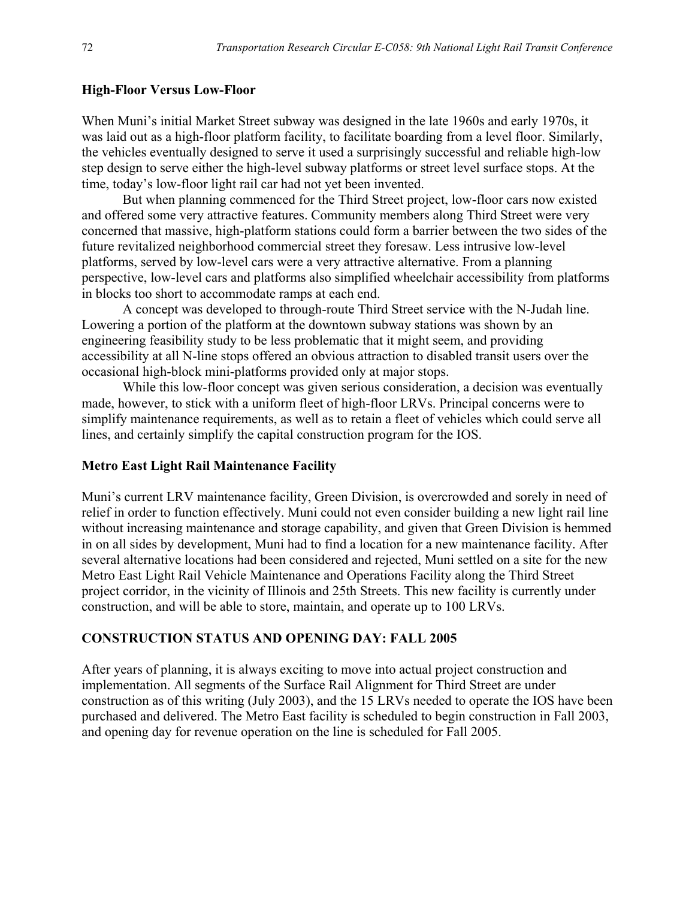#### **High-Floor Versus Low-Floor**

When Muni's initial Market Street subway was designed in the late 1960s and early 1970s, it was laid out as a high-floor platform facility, to facilitate boarding from a level floor. Similarly, the vehicles eventually designed to serve it used a surprisingly successful and reliable high-low step design to serve either the high-level subway platforms or street level surface stops. At the time, today's low-floor light rail car had not yet been invented.

But when planning commenced for the Third Street project, low-floor cars now existed and offered some very attractive features. Community members along Third Street were very concerned that massive, high-platform stations could form a barrier between the two sides of the future revitalized neighborhood commercial street they foresaw. Less intrusive low-level platforms, served by low-level cars were a very attractive alternative. From a planning perspective, low-level cars and platforms also simplified wheelchair accessibility from platforms in blocks too short to accommodate ramps at each end.

A concept was developed to through-route Third Street service with the N-Judah line. Lowering a portion of the platform at the downtown subway stations was shown by an engineering feasibility study to be less problematic that it might seem, and providing accessibility at all N-line stops offered an obvious attraction to disabled transit users over the occasional high-block mini-platforms provided only at major stops.

While this low-floor concept was given serious consideration, a decision was eventually made, however, to stick with a uniform fleet of high-floor LRVs. Principal concerns were to simplify maintenance requirements, as well as to retain a fleet of vehicles which could serve all lines, and certainly simplify the capital construction program for the IOS.

#### **Metro East Light Rail Maintenance Facility**

Muni's current LRV maintenance facility, Green Division, is overcrowded and sorely in need of relief in order to function effectively. Muni could not even consider building a new light rail line without increasing maintenance and storage capability, and given that Green Division is hemmed in on all sides by development, Muni had to find a location for a new maintenance facility. After several alternative locations had been considered and rejected, Muni settled on a site for the new Metro East Light Rail Vehicle Maintenance and Operations Facility along the Third Street project corridor, in the vicinity of Illinois and 25th Streets. This new facility is currently under construction, and will be able to store, maintain, and operate up to 100 LRVs.

#### **CONSTRUCTION STATUS AND OPENING DAY: FALL 2005**

After years of planning, it is always exciting to move into actual project construction and implementation. All segments of the Surface Rail Alignment for Third Street are under construction as of this writing (July 2003), and the 15 LRVs needed to operate the IOS have been purchased and delivered. The Metro East facility is scheduled to begin construction in Fall 2003, and opening day for revenue operation on the line is scheduled for Fall 2005.